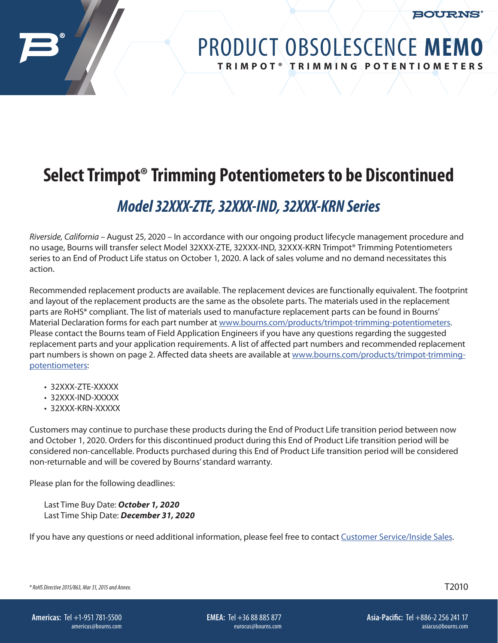BOURNS

## PRODUCT OBSOLESCENCE **MEMO TRIMPOT® TRIMMING POTENTIOMETERS**

## **Select Trimpot® Trimming Potentiometers to be Discontinued**

## *Model 32XXX-ZTE, 32XXX-IND, 32XXX-KRN Series*

*Riverside, California* – August 25, 2020 – In accordance with our ongoing product lifecycle management procedure and no usage, Bourns will transfer select Model 32XXX-ZTE, 32XXX-IND, 32XXX-KRN Trimpot® Trimming Potentiometers series to an End of Product Life status on October 1, 2020. A lack of sales volume and no demand necessitates this action.

Recommended replacement products are available. The replacement devices are functionally equivalent. The footprint and layout of the replacement products are the same as the obsolete parts. The materials used in the replacement parts are RoHS\* compliant. The list of materials used to manufacture replacement parts can be found in Bourns' Material Declaration forms for each part number at [www.bourns.com/products/trimpot-trimming-potentiometers.](http://www.bourns.com/products/trimpot-trimming-potentiometers) Please contact the Bourns team of Field Application Engineers if you have any questions regarding the suggested replacement parts and your application requirements. A list of affected part numbers and recommended replacement part numbers is shown on page 2. Affected data sheets are available at [www.bourns.com/products/trimpot-trimming](https://www.bourns.com/products/trimpot-trimming-potentiometers)[potentiometers](https://www.bourns.com/products/trimpot-trimming-potentiometers):

- 32XXX-ZTE-XXXXX
- 32XXX-IND-XXXXX
- 32XXX-KRN-XXXXX

Customers may continue to purchase these products during the End of Product Life transition period between now and October 1, 2020. Orders for this discontinued product during this End of Product Life transition period will be considered non-cancellable. Products purchased during this End of Product Life transition period will be considered non-returnable and will be covered by Bourns' standard warranty.

Please plan for the following deadlines:

Last Time Buy Date: *October 1, 2020* Last Time Ship Date: *December 31, 2020* 

If you have any questions or need additional information, please feel free to contact [Customer Service/Inside Sales](https://www.bourns.com/support/contact).

*\* RoHS Directive 2015/863, Mar 31, 2015 and Annex.* T2010